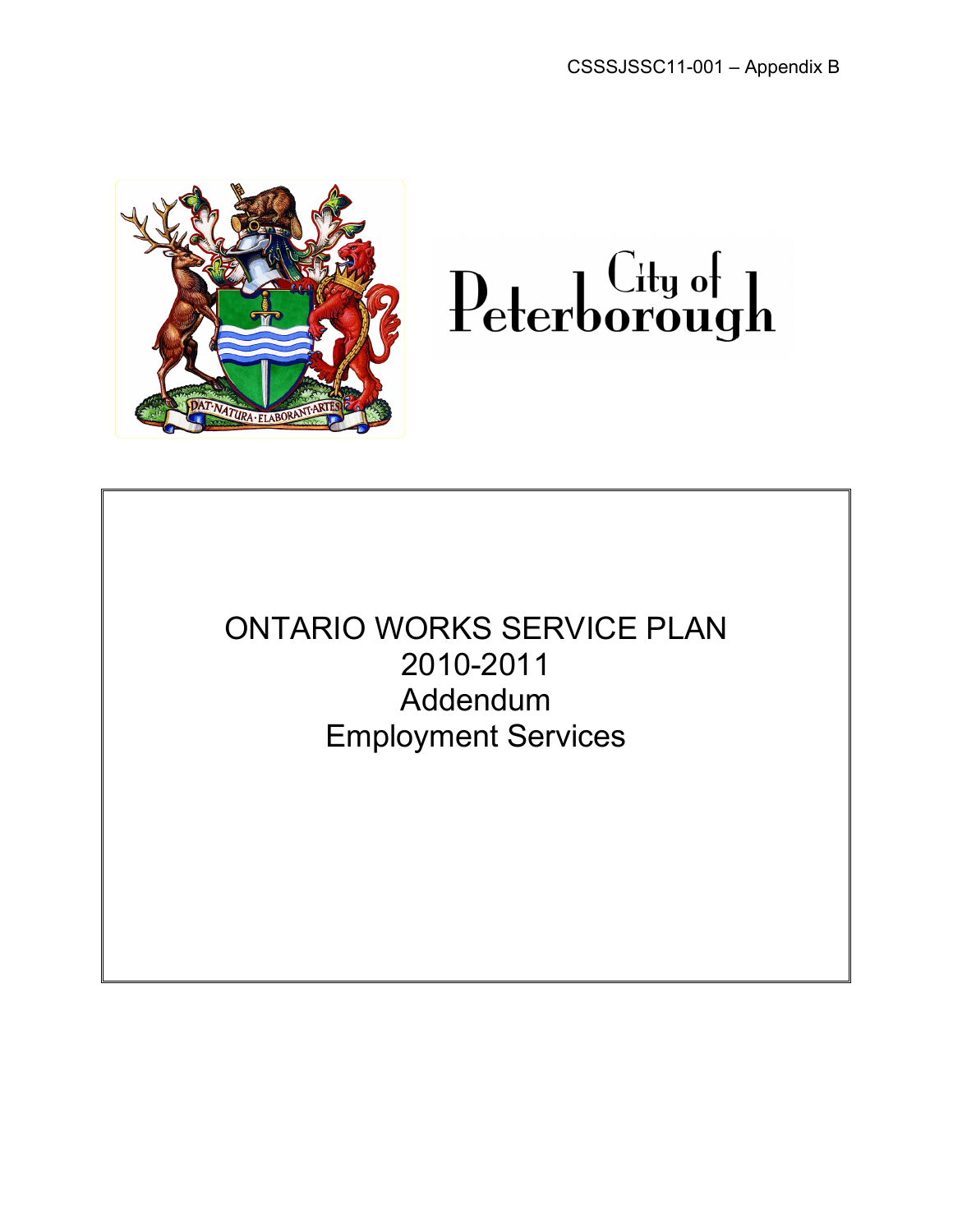



ONTARIO WORKS SERVICE PLAN 2010-2011 Addendum Employment Services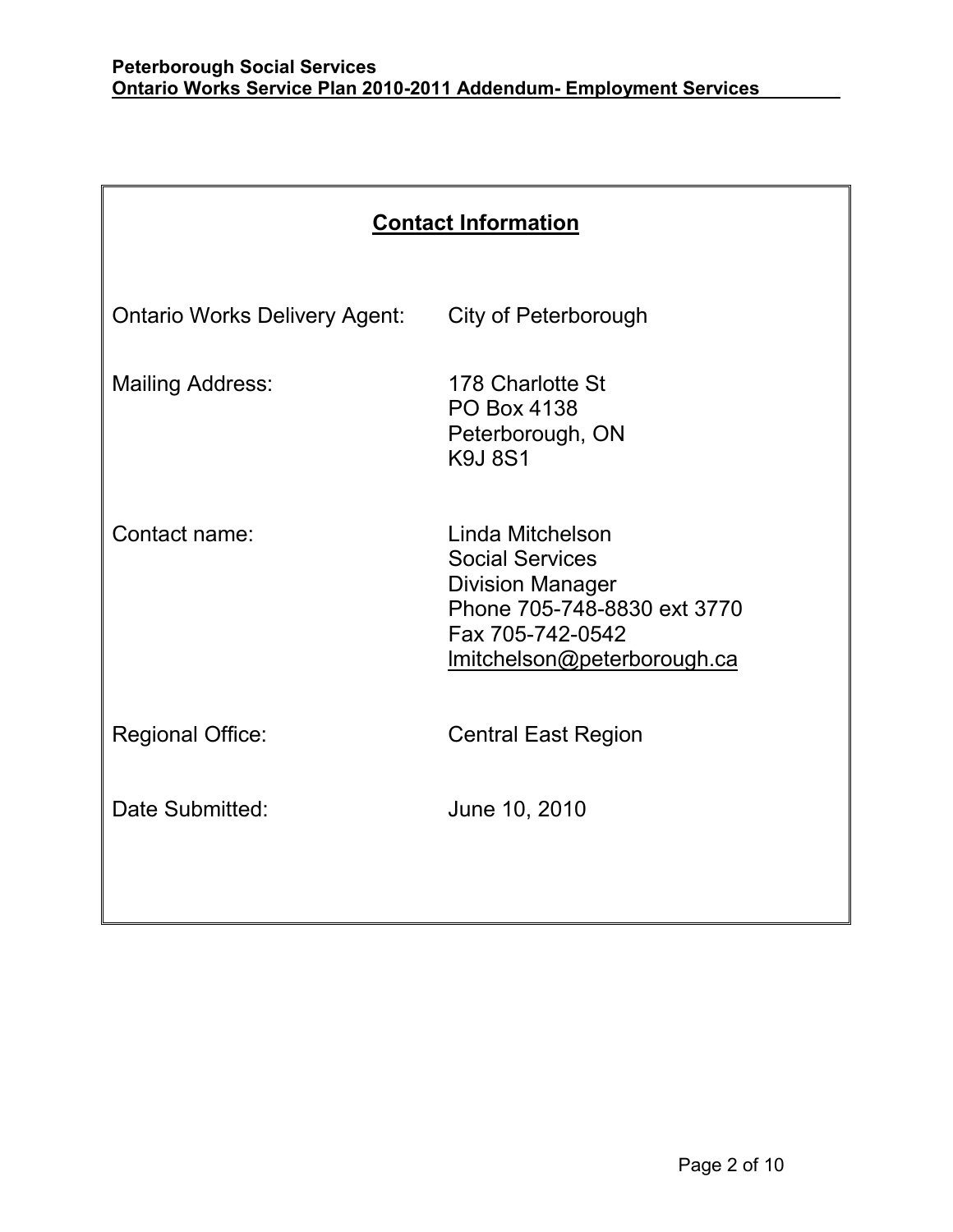| <b>Contact Information</b>           |                                                                                                                                                         |  |
|--------------------------------------|---------------------------------------------------------------------------------------------------------------------------------------------------------|--|
| <b>Ontario Works Delivery Agent:</b> | City of Peterborough                                                                                                                                    |  |
| <b>Mailing Address:</b>              | 178 Charlotte St<br><b>PO Box 4138</b><br>Peterborough, ON<br><b>K9J8S1</b>                                                                             |  |
| Contact name:                        | Linda Mitchelson<br><b>Social Services</b><br><b>Division Manager</b><br>Phone 705-748-8830 ext 3770<br>Fax 705-742-0542<br>Imitchelson@peterborough.ca |  |
| <b>Regional Office:</b>              | <b>Central East Region</b>                                                                                                                              |  |
| Date Submitted:                      | June 10, 2010                                                                                                                                           |  |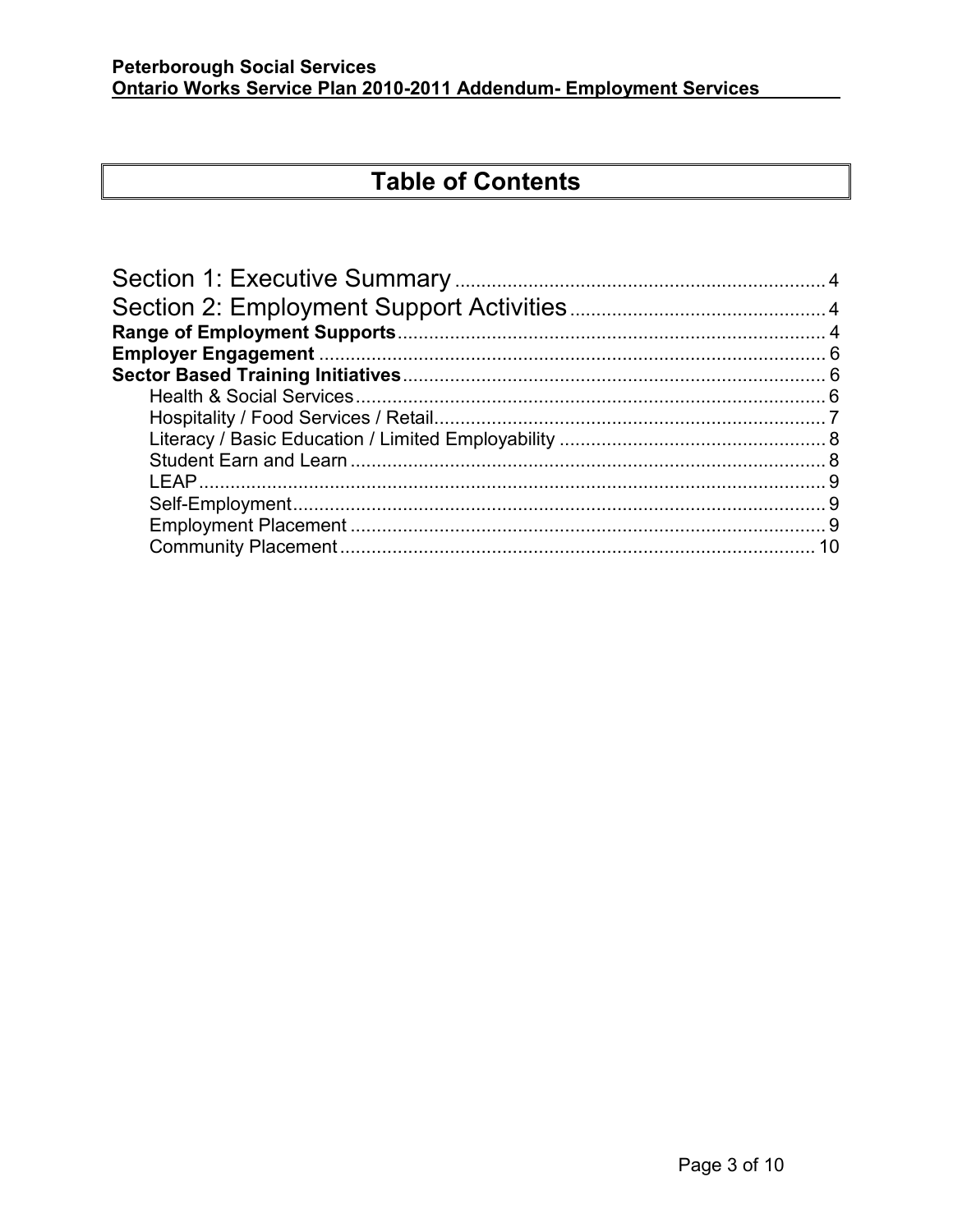# **Table of Contents**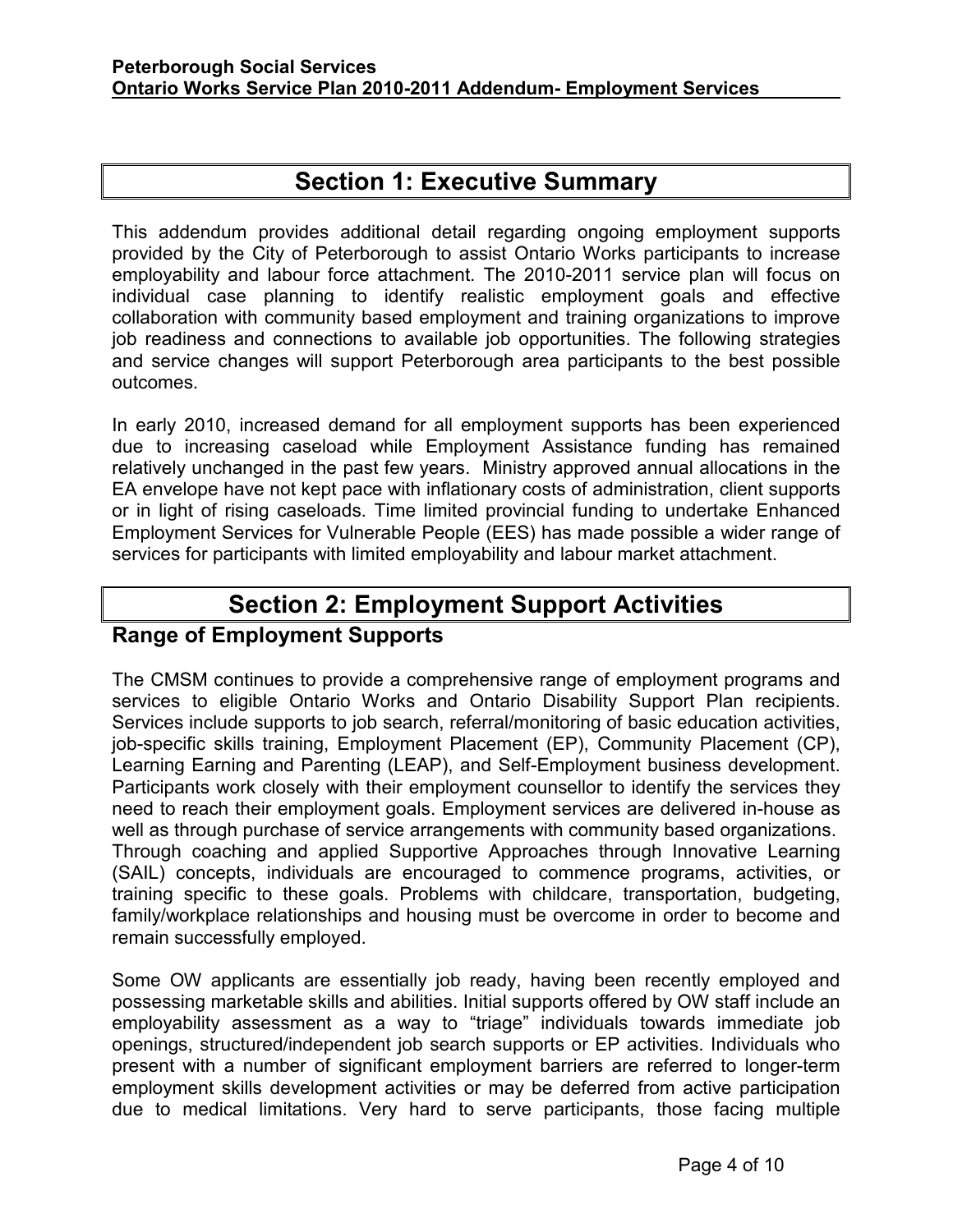## **Section 1: Executive Summary**

<span id="page-3-0"></span>This addendum provides additional detail regarding ongoing employment supports provided by the City of Peterborough to assist Ontario Works participants to increase employability and labour force attachment. The 2010-2011 service plan will focus on individual case planning to identify realistic employment goals and effective collaboration with community based employment and training organizations to improve job readiness and connections to available job opportunities. The following strategies and service changes will support Peterborough area participants to the best possible outcomes.

In early 2010, increased demand for all employment supports has been experienced due to increasing caseload while Employment Assistance funding has remained relatively unchanged in the past few years. Ministry approved annual allocations in the EA envelope have not kept pace with inflationary costs of administration, client supports or in light of rising caseloads. Time limited provincial funding to undertake Enhanced Employment Services for Vulnerable People (EES) has made possible a wider range of services for participants with limited employability and labour market attachment.

## **Section 2: Employment Support Activities**

### **Range of Employment Supports**

The CMSM continues to provide a comprehensive range of employment programs and services to eligible Ontario Works and Ontario Disability Support Plan recipients. Services include supports to job search, referral/monitoring of basic education activities, job-specific skills training, Employment Placement (EP), Community Placement (CP), Learning Earning and Parenting (LEAP), and Self-Employment business development. Participants work closely with their employment counsellor to identify the services they need to reach their employment goals. Employment services are delivered in-house as well as through purchase of service arrangements with community based organizations. Through coaching and applied Supportive Approaches through Innovative Learning (SAIL) concepts, individuals are encouraged to commence programs, activities, or training specific to these goals. Problems with childcare, transportation, budgeting, family/workplace relationships and housing must be overcome in order to become and remain successfully employed.

Some OW applicants are essentially job ready, having been recently employed and possessing marketable skills and abilities. Initial supports offered by OW staff include an employability assessment as a way to "triage" individuals towards immediate job openings, structured/independent job search supports or EP activities. Individuals who present with a number of significant employment barriers are referred to longer-term employment skills development activities or may be deferred from active participation due to medical limitations. Very hard to serve participants, those facing multiple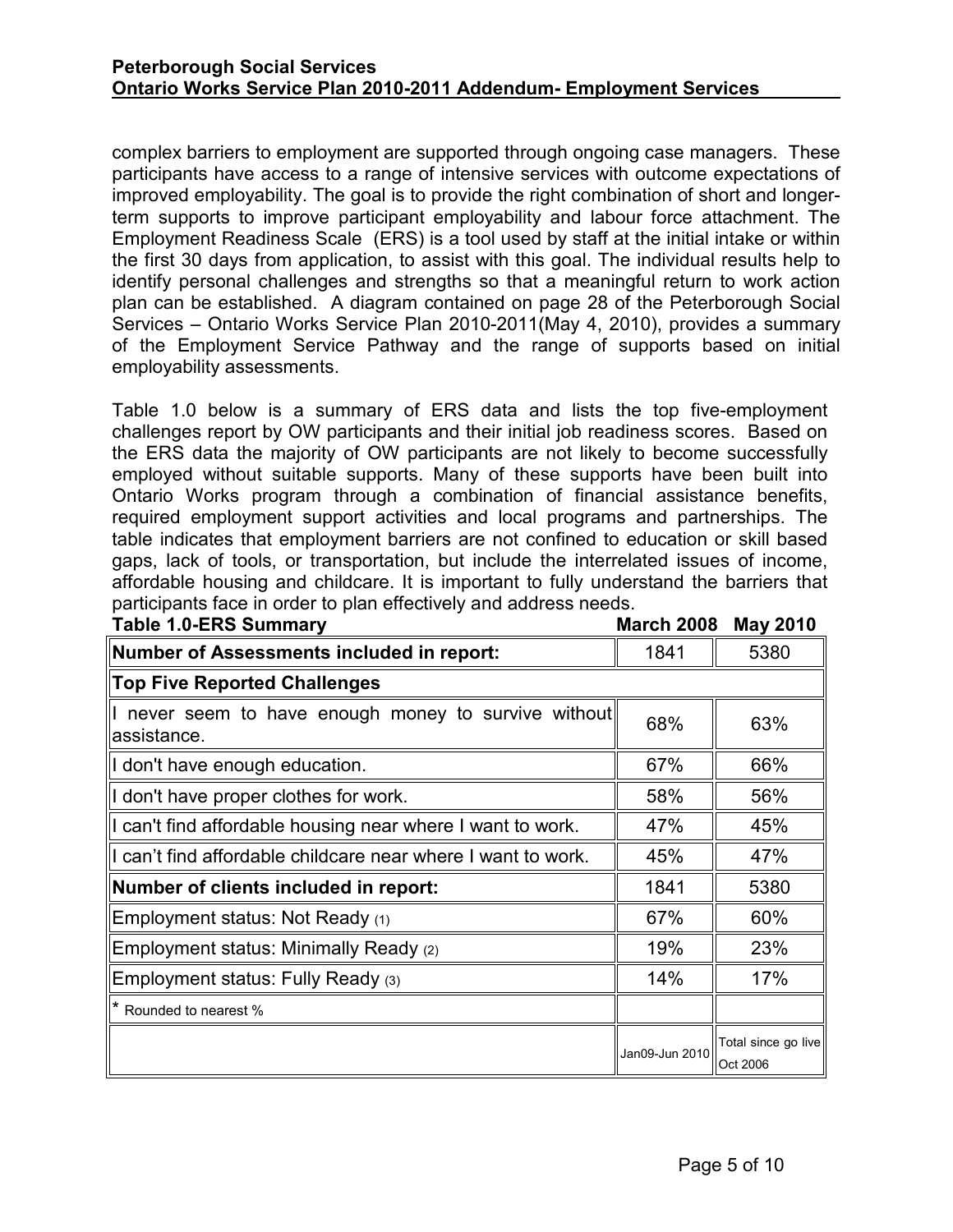complex barriers to employment are supported through ongoing case managers. These participants have access to a range of intensive services with outcome expectations of improved employability. The goal is to provide the right combination of short and longerterm supports to improve participant employability and labour force attachment. The Employment Readiness Scale (ERS) is a tool used by staff at the initial intake or within the first 30 days from application, to assist with this goal. The individual results help to identify personal challenges and strengths so that a meaningful return to work action plan can be established. A diagram contained on page 28 of the Peterborough Social Services – Ontario Works Service Plan 2010-2011(May 4, 2010), provides a summary of the Employment Service Pathway and the range of supports based on initial employability assessments.

Table 1.0 below is a summary of ERS data and lists the top five-employment challenges report by OW participants and their initial job readiness scores. Based on the ERS data the majority of OW participants are not likely to become successfully employed without suitable supports. Many of these supports have been built into Ontario Works program through a combination of financial assistance benefits, required employment support activities and local programs and partnerships. The table indicates that employment barriers are not confined to education or skill based gaps, lack of tools, or transportation, but include the interrelated issues of income, affordable housing and childcare. It is important to fully understand the barriers that participants face in order to plan effectively and address needs.

| <b>Table 1.0-ERS Summary</b>                                      | <b>March 2008</b> | <b>May 2010</b>                 |
|-------------------------------------------------------------------|-------------------|---------------------------------|
| <b>Number of Assessments included in report:</b>                  | 1841              | 5380                            |
| <b>Top Five Reported Challenges</b>                               |                   |                                 |
| never seem to have enough money to survive without<br>assistance. | 68%               | 63%                             |
| I don't have enough education.                                    | 67%               | 66%                             |
| I don't have proper clothes for work.                             | 58%               | 56%                             |
| I can't find affordable housing near where I want to work.        | 47%               | 45%                             |
| I can't find affordable childcare near where I want to work.      | 45%               | 47%                             |
| Number of clients included in report:                             | 1841              | 5380                            |
| Employment status: Not Ready (1)                                  | 67%               | 60%                             |
| Employment status: Minimally Ready (2)                            | 19%               | 23%                             |
| Employment status: Fully Ready (3)                                | 14%               | 17%                             |
| * Rounded to nearest %                                            |                   |                                 |
|                                                                   | Jan09-Jun 2010    | Total since go live<br>Oct 2006 |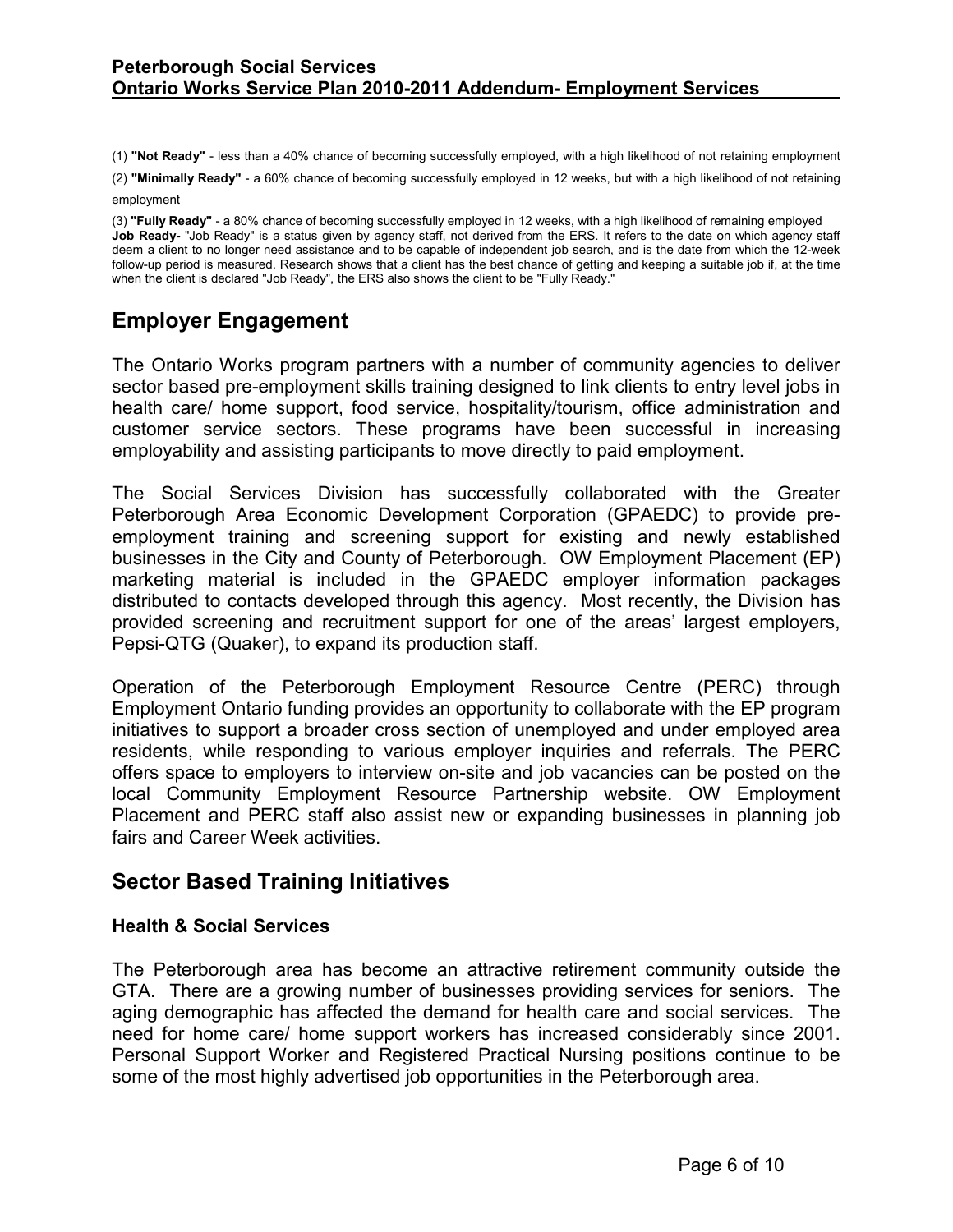<span id="page-5-0"></span>(1) **"Not Ready"** - less than a 40% chance of becoming successfully employed, with a high likelihood of not retaining employment

(2) **"Minimally Ready"** - a 60% chance of becoming successfully employed in 12 weeks, but with a high likelihood of not retaining employment

(3) **"Fully Ready"** - a 80% chance of becoming successfully employed in 12 weeks, with a high likelihood of remaining employed **Job Ready-** "Job Ready" is a status given by agency staff, not derived from the ERS. It refers to the date on which agency staff deem a client to no longer need assistance and to be capable of independent job search, and is the date from which the 12-week follow-up period is measured. Research shows that a client has the best chance of getting and keeping a suitable job if, at the time when the client is declared "Job Ready", the ERS also shows the client to be "Fully Ready."

## **Employer Engagement**

The Ontario Works program partners with a number of community agencies to deliver sector based pre-employment skills training designed to link clients to entry level jobs in health care/ home support, food service, hospitality/tourism, office administration and customer service sectors. These programs have been successful in increasing employability and assisting participants to move directly to paid employment.

The Social Services Division has successfully collaborated with the Greater Peterborough Area Economic Development Corporation (GPAEDC) to provide preemployment training and screening support for existing and newly established businesses in the City and County of Peterborough. OW Employment Placement (EP) marketing material is included in the GPAEDC employer information packages distributed to contacts developed through this agency. Most recently, the Division has provided screening and recruitment support for one of the areas' largest employers, Pepsi-QTG (Quaker), to expand its production staff.

Operation of the Peterborough Employment Resource Centre (PERC) through Employment Ontario funding provides an opportunity to collaborate with the EP program initiatives to support a broader cross section of unemployed and under employed area residents, while responding to various employer inquiries and referrals. The PERC offers space to employers to interview on-site and job vacancies can be posted on the local Community Employment Resource Partnership website. OW Employment Placement and PERC staff also assist new or expanding businesses in planning job fairs and Career Week activities.

### **Sector Based Training Initiatives**

#### **Health & Social Services**

The Peterborough area has become an attractive retirement community outside the GTA. There are a growing number of businesses providing services for seniors. The aging demographic has affected the demand for health care and social services. The need for home care/ home support workers has increased considerably since 2001. Personal Support Worker and Registered Practical Nursing positions continue to be some of the most highly advertised job opportunities in the Peterborough area.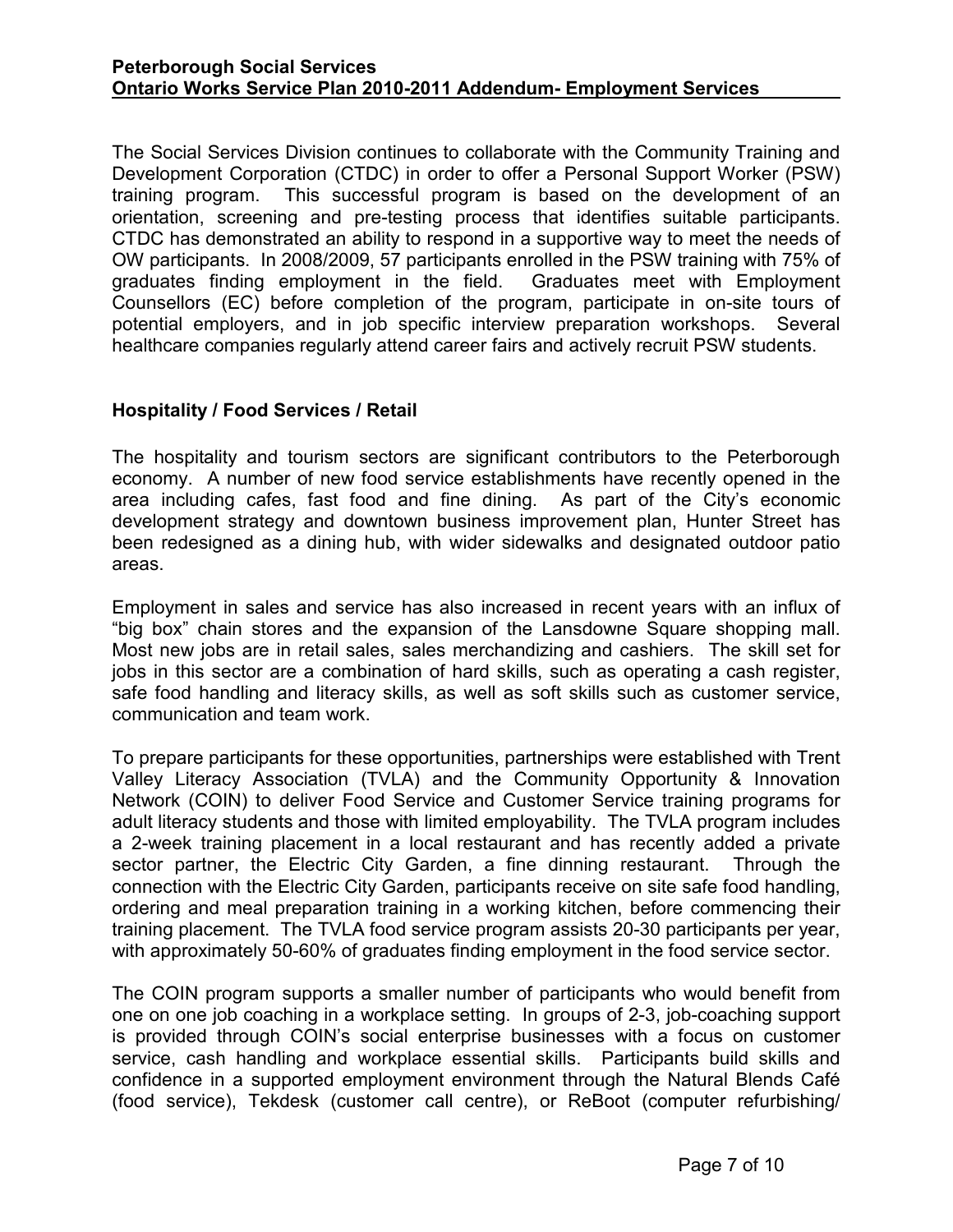<span id="page-6-0"></span>The Social Services Division continues to collaborate with the Community Training and Development Corporation (CTDC) in order to offer a Personal Support Worker (PSW) training program. This successful program is based on the development of an orientation, screening and pre-testing process that identifies suitable participants. CTDC has demonstrated an ability to respond in a supportive way to meet the needs of OW participants. In 2008/2009, 57 participants enrolled in the PSW training with 75% of graduates finding employment in the field. Graduates meet with Employment Counsellors (EC) before completion of the program, participate in on-site tours of potential employers, and in job specific interview preparation workshops. Several healthcare companies regularly attend career fairs and actively recruit PSW students.

#### **Hospitality / Food Services / Retail**

The hospitality and tourism sectors are significant contributors to the Peterborough economy. A number of new food service establishments have recently opened in the area including cafes, fast food and fine dining. As part of the City's economic development strategy and downtown business improvement plan, Hunter Street has been redesigned as a dining hub, with wider sidewalks and designated outdoor patio areas.

Employment in sales and service has also increased in recent years with an influx of "big box" chain stores and the expansion of the Lansdowne Square shopping mall. Most new jobs are in retail sales, sales merchandizing and cashiers. The skill set for jobs in this sector are a combination of hard skills, such as operating a cash register, safe food handling and literacy skills, as well as soft skills such as customer service, communication and team work.

To prepare participants for these opportunities, partnerships were established with Trent Valley Literacy Association (TVLA) and the Community Opportunity & Innovation Network (COIN) to deliver Food Service and Customer Service training programs for adult literacy students and those with limited employability. The TVLA program includes a 2-week training placement in a local restaurant and has recently added a private sector partner, the Electric City Garden, a fine dinning restaurant. Through the connection with the Electric City Garden, participants receive on site safe food handling, ordering and meal preparation training in a working kitchen, before commencing their training placement. The TVLA food service program assists 20-30 participants per year, with approximately 50-60% of graduates finding employment in the food service sector.

The COIN program supports a smaller number of participants who would benefit from one on one job coaching in a workplace setting. In groups of 2-3, job-coaching support is provided through COIN's social enterprise businesses with a focus on customer service, cash handling and workplace essential skills. Participants build skills and confidence in a supported employment environment through the Natural Blends Café (food service), Tekdesk (customer call centre), or ReBoot (computer refurbishing/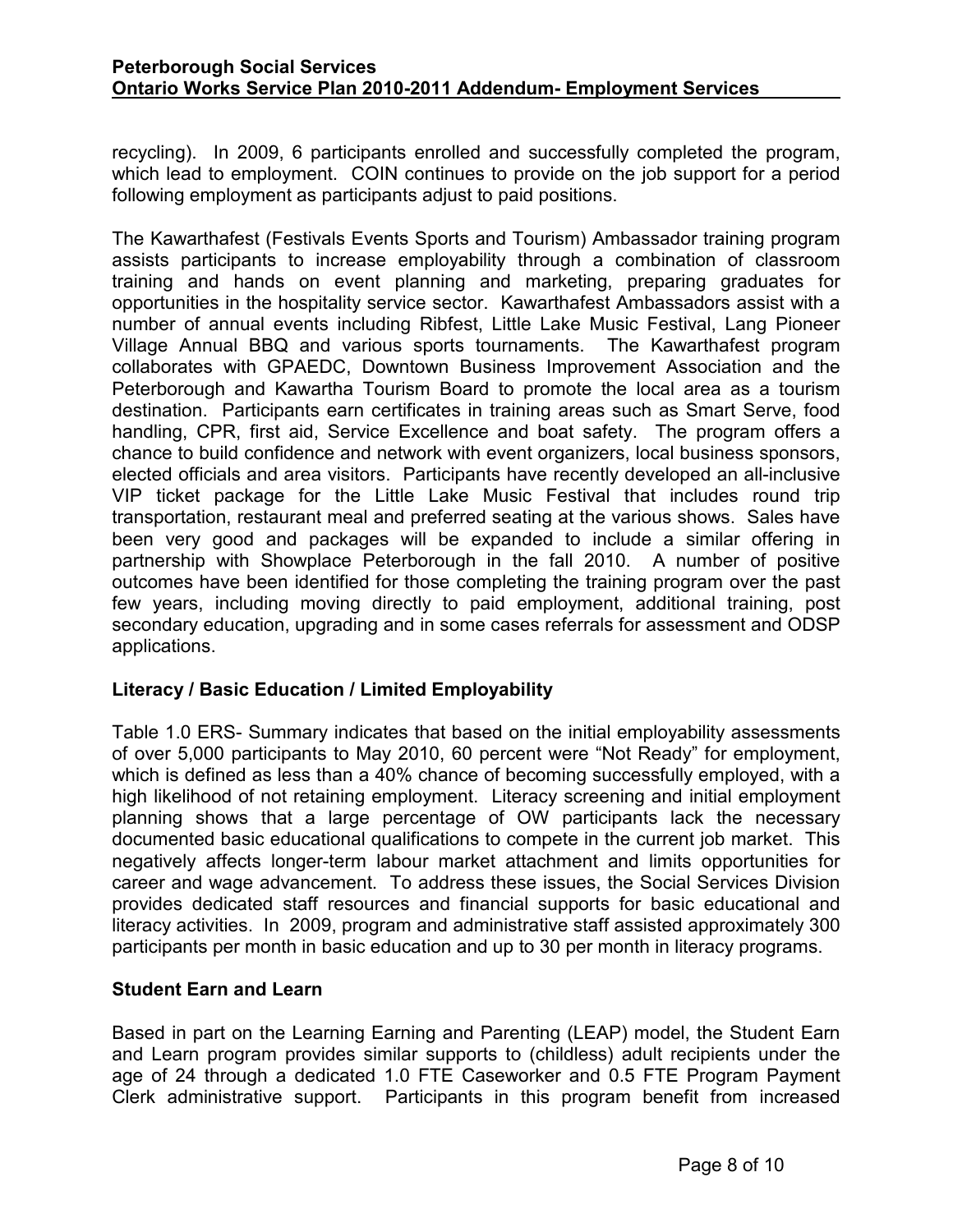<span id="page-7-0"></span>recycling). In 2009, 6 participants enrolled and successfully completed the program, which lead to employment. COIN continues to provide on the job support for a period following employment as participants adjust to paid positions.

The Kawarthafest (Festivals Events Sports and Tourism) Ambassador training program assists participants to increase employability through a combination of classroom training and hands on event planning and marketing, preparing graduates for opportunities in the hospitality service sector. Kawarthafest Ambassadors assist with a number of annual events including Ribfest, Little Lake Music Festival, Lang Pioneer Village Annual BBQ and various sports tournaments. The Kawarthafest program collaborates with GPAEDC, Downtown Business Improvement Association and the Peterborough and Kawartha Tourism Board to promote the local area as a tourism destination. Participants earn certificates in training areas such as Smart Serve, food handling, CPR, first aid, Service Excellence and boat safety. The program offers a chance to build confidence and network with event organizers, local business sponsors, elected officials and area visitors. Participants have recently developed an all-inclusive VIP ticket package for the Little Lake Music Festival that includes round trip transportation, restaurant meal and preferred seating at the various shows. Sales have been very good and packages will be expanded to include a similar offering in partnership with Showplace Peterborough in the fall 2010. A number of positive outcomes have been identified for those completing the training program over the past few years, including moving directly to paid employment, additional training, post secondary education, upgrading and in some cases referrals for assessment and ODSP applications.

#### **Literacy / Basic Education / Limited Employability**

Table 1.0 ERS- Summary indicates that based on the initial employability assessments of over 5,000 participants to May 2010, 60 percent were "Not Ready" for employment, which is defined as less than a 40% chance of becoming successfully employed, with a high likelihood of not retaining employment. Literacy screening and initial employment planning shows that a large percentage of OW participants lack the necessary documented basic educational qualifications to compete in the current job market. This negatively affects longer-term labour market attachment and limits opportunities for career and wage advancement. To address these issues, the Social Services Division provides dedicated staff resources and financial supports for basic educational and literacy activities. In 2009, program and administrative staff assisted approximately 300 participants per month in basic education and up to 30 per month in literacy programs.

#### **Student Earn and Learn**

Based in part on the Learning Earning and Parenting (LEAP) model, the Student Earn and Learn program provides similar supports to (childless) adult recipients under the age of 24 through a dedicated 1.0 FTE Caseworker and 0.5 FTE Program Payment Clerk administrative support. Participants in this program benefit from increased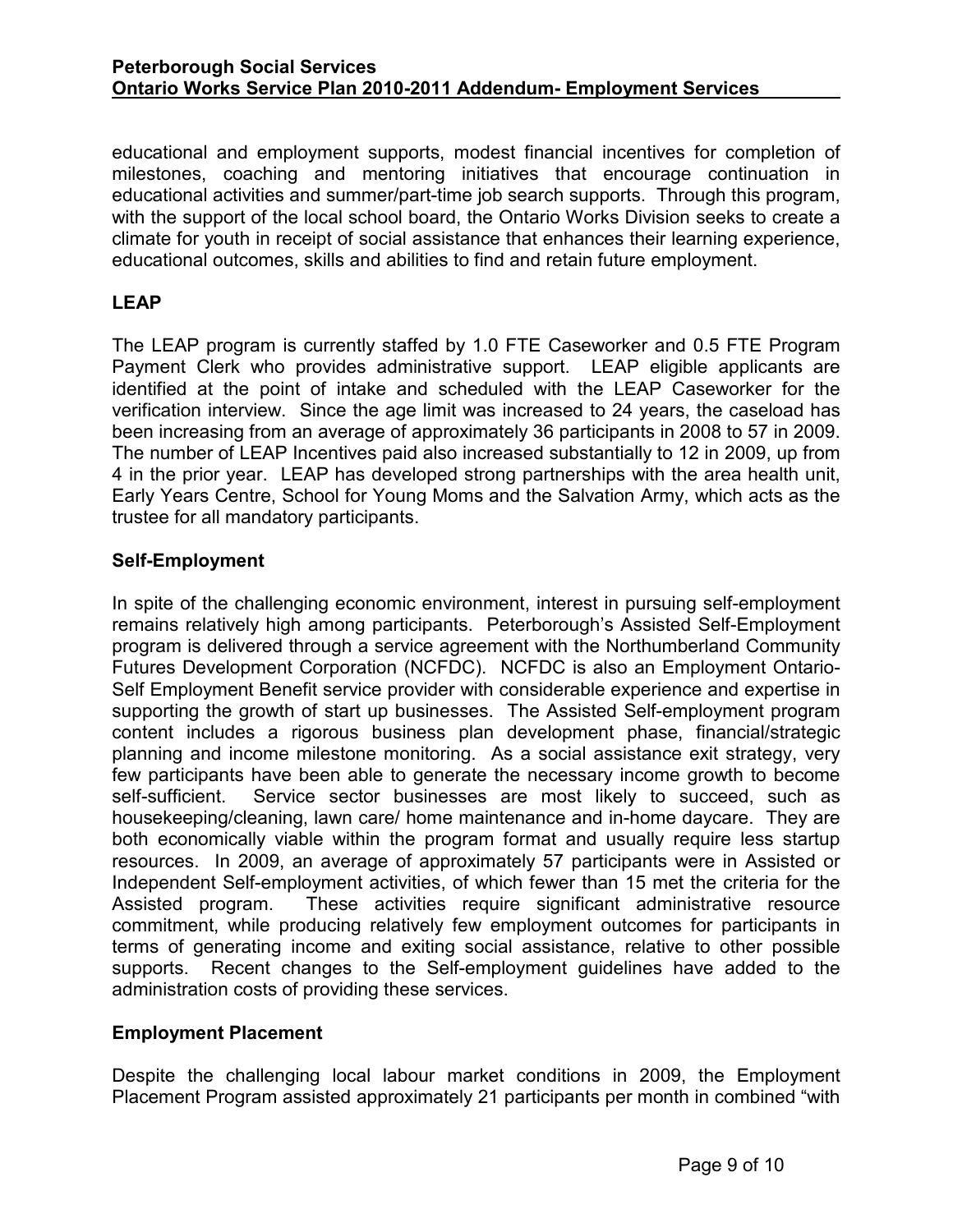<span id="page-8-0"></span>educational and employment supports, modest financial incentives for completion of milestones, coaching and mentoring initiatives that encourage continuation in educational activities and summer/part-time job search supports. Through this program, with the support of the local school board, the Ontario Works Division seeks to create a climate for youth in receipt of social assistance that enhances their learning experience, educational outcomes, skills and abilities to find and retain future employment.

#### **LEAP**

The LEAP program is currently staffed by 1.0 FTE Caseworker and 0.5 FTE Program Payment Clerk who provides administrative support. LEAP eligible applicants are identified at the point of intake and scheduled with the LEAP Caseworker for the verification interview. Since the age limit was increased to 24 years, the caseload has been increasing from an average of approximately 36 participants in 2008 to 57 in 2009. The number of LEAP Incentives paid also increased substantially to 12 in 2009, up from 4 in the prior year. LEAP has developed strong partnerships with the area health unit, Early Years Centre, School for Young Moms and the Salvation Army, which acts as the trustee for all mandatory participants.

#### **Self-Employment**

In spite of the challenging economic environment, interest in pursuing self-employment remains relatively high among participants. Peterborough's Assisted Self-Employment program is delivered through a service agreement with the Northumberland Community Futures Development Corporation (NCFDC). NCFDC is also an Employment Ontario-Self Employment Benefit service provider with considerable experience and expertise in supporting the growth of start up businesses. The Assisted Self-employment program content includes a rigorous business plan development phase, financial/strategic planning and income milestone monitoring. As a social assistance exit strategy, very few participants have been able to generate the necessary income growth to become self-sufficient. Service sector businesses are most likely to succeed, such as housekeeping/cleaning, lawn care/ home maintenance and in-home daycare. They are both economically viable within the program format and usually require less startup resources. In 2009, an average of approximately 57 participants were in Assisted or Independent Self-employment activities, of which fewer than 15 met the criteria for the Assisted program. These activities require significant administrative resource commitment, while producing relatively few employment outcomes for participants in terms of generating income and exiting social assistance, relative to other possible supports. Recent changes to the Self-employment guidelines have added to the administration costs of providing these services.

#### **Employment Placement**

Despite the challenging local labour market conditions in 2009, the Employment Placement Program assisted approximately 21 participants per month in combined "with